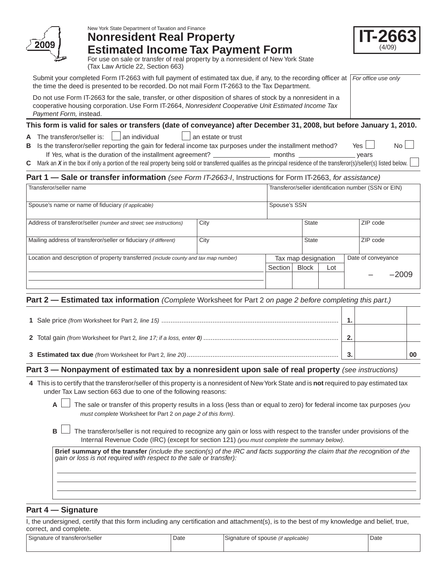

# New York State Department of Taxation and Finance **Nonresident Real Property Estimated Income Tax Payment Form**



For use on sale or transfer of real property by a nonresident of New York State (Tax Law Article 22, Section 663)

Submit your completed Form IT-2663 with full payment of estimated tax due, if any, to the recording officer at | For office use only the time the deed is presented to be recorded. Do not mail Form IT-2663 to the Tax Department.

Do not use Form IT-2663 for the sale, transfer, or other disposition of shares of stock by a nonresident in a cooperative housing corporation. Use Form IT-2664, *Nonresident Cooperative Unit Estimated Income Tax Payment Form,* instead.

## **This form is valid for sales or transfers (date of conveyance) after December 31, 2008, but before January 1, 2010.**

**A** The transferor/seller is:  $\Box$  an individual  $\Box$  an estate or trust

**B** Is the transferor/seller reporting the gain for federal income tax purposes under the installment method? Yes If *Yes,* what is the duration of the installment agreement? months years

**C** Mark an *X* in the box if only a portion of the real property being sold or transferred qualifies as the principal residence of the transferor(s)/seller(s) listed below.

## **Part 1 — Sale or transfer information** *(see Form IT-2663-I*, Instructions for Form IT-2663, *for assistance)*

| Transferor/seller name                                                               |      |         | Transferor/seller identification number (SSN or EIN) |       |  |                    |         |  |
|--------------------------------------------------------------------------------------|------|---------|------------------------------------------------------|-------|--|--------------------|---------|--|
| Spouse's name or name of fiduciary (if applicable)                                   |      |         | Spouse's SSN                                         |       |  |                    |         |  |
| Address of transferor/seller (number and street; see instructions)                   | City |         | State                                                |       |  | ZIP code           |         |  |
| Mailing address of transferor/seller or fiduciary (if different)                     | City |         |                                                      | State |  | ZIP code           |         |  |
| Location and description of property transferred (include county and tax map number) |      |         | Tax map designation                                  |       |  | Date of conveyance |         |  |
|                                                                                      |      | Section | <b>Block</b>                                         | Lot   |  |                    |         |  |
|                                                                                      |      |         |                                                      |       |  |                    | $-2009$ |  |

## **Part 2 — Estimated tax information** *(Complete* Worksheet for Part 2 *on page 2 before completing this part.)*

|  | ◠ |  |
|--|---|--|
|  |   |  |

## **Part 3 — Nonpayment of estimated tax by a nonresident upon sale of real property** *(see instructions)*

- **4** This is to certify that the transferor/seller of this property is a nonresident of New York State and is **not** required to pay estimated tax under Tax Law section 663 due to one of the following reasons:
	- **A** The sale or transfer of this property results in a loss (less than or equal to zero) for federal income tax purposes *(you must complete* Worksheet for Part 2 *on page 2 of this form)*.
	- **B**  $\Box$  The transferor/seller is not required to recognize any gain or loss with respect to the transfer under provisions of the Internal Revenue Code (IRC) (except for section 121) *(you must complete the summary below)*.

**Brief summary of the transfer** *(include the section(s) of the IRC and facts supporting the claim that the recognition of the gain or loss is not required with respect to the sale or transfer):*

## **Part 4 — Signature**

I, the undersigned, certify that this form including any certification and attachment(s), is to the best of my knowledge and belief, true, correct, and complete.

| $\sim$                         | Date | Signature of spouse <i>(if applicable)</i> | Date |
|--------------------------------|------|--------------------------------------------|------|
| Signature of transferor/seller |      |                                            | .    |
|                                |      |                                            |      |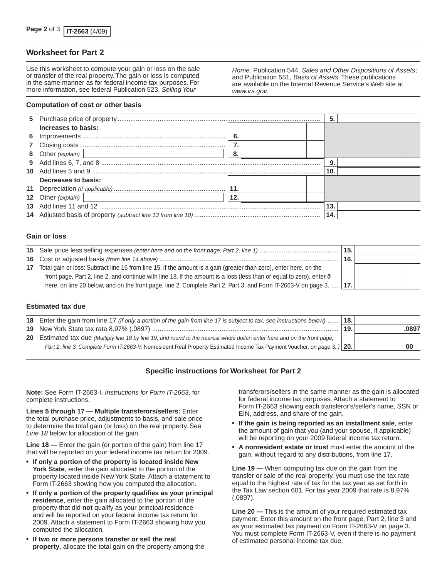### **Worksheet for Part 2**

Use this worksheet to compute your gain or loss on the sale or transfer of the real property. The gain or loss is computed in the same manner as for federal income tax purposes. For more information, see federal Publication 523, *Selling Your* 

*Home*; Publication 544, *Sales and Other Dispositions of Assets*; and Publication 551, *Basis of Assets*. These publications are available on the Internal Revenue Service's Web site at *www.irs.gov.*

#### **Computation of cost or other basis**

|                                                                                                              |      |  | 5.  |  |
|--------------------------------------------------------------------------------------------------------------|------|--|-----|--|
| Increases to basis:                                                                                          |      |  |     |  |
|                                                                                                              | - 6. |  |     |  |
|                                                                                                              |      |  |     |  |
| 8 Other (explain)   2000   2000   2010   2010   2010   2010   2010   2010   2010   2010   2010   2010   2010 | - 8. |  |     |  |
|                                                                                                              |      |  | 9.  |  |
|                                                                                                              |      |  | 10. |  |
| Decreases to basis:                                                                                          |      |  |     |  |
|                                                                                                              |      |  |     |  |
| 12 Other (explain)<br><u> 1989 - Johann Stein, fransk politik (d. 1989)</u>                                  | 12.  |  |     |  |
|                                                                                                              |      |  | 13. |  |
|                                                                                                              |      |  | 14. |  |
|                                                                                                              |      |  |     |  |

#### **Gain or loss**

|                  |                                                                                                                      | 15.   |  |
|------------------|----------------------------------------------------------------------------------------------------------------------|-------|--|
|                  |                                                                                                                      | ີ 16. |  |
| 17 <sup>17</sup> | Total gain or loss: Subtract line 16 from line 15. If the amount is a gain (greater than zero), enter here, on the   |       |  |
|                  | front page, Part 2, line 2, and continue with line 18. If the amount is a loss (less than or equal to zero), enter 0 |       |  |
|                  | here, on line 20 below, and on the front page, line 2. Complete Part 2, Part 3, and Form IT-2663-V on page 3.    17. |       |  |

#### **Estimated tax due**

| <b>18.</b> Enter the gain from line 17 (if only a portion of the gain from line 17 is subject to tax, see instructions below)  [18.] |       |       |
|--------------------------------------------------------------------------------------------------------------------------------------|-------|-------|
|                                                                                                                                      | ່ 19. | .0897 |
| 20 Estimated tax due (Multiply line 18 by line 19, and round to the nearest whole dollar; enter here and on the front page,          |       |       |
| Part 2, line 3. Complete Form IT-2663-V, Nonresident Real Property Estimated Income Tax Payment Voucher, on page 3. ) 20.            |       | 00    |

### **Specific instructions for Worksheet for Part 2**

**Note:** See Form IT-2663-I, *Instructions for Form IT-2663*, for complete instructions.

**Lines 5 through 17 — Multiple transferors/sellers:** Enter the total purchase price, adjustments to basis, and sale price to determine the total gain (or loss) on the real property. See *Line 18* below for allocation of the gain.

**Line 18 —** Enter the gain (or portion of the gain) from line 17 that will be reported on your federal income tax return for 2009.

- **If only a portion of the property is located inside New York State**, enter the gain allocated to the portion of the property located inside New York State. Attach a statement to Form IT-2663 showing how you computed the allocation.
- **If only a portion of the property qualifies as your principal residence**, enter the gain allocated to the portion of the property that did **not** qualify as your principal residence and will be reported on your federal income tax return for 2009. Attach a statement to Form IT-2663 showing how you computed the allocation.
- **If two or more persons transfer or sell the real property**, allocate the total gain on the property among the

transferors/sellers in the same manner as the gain is allocated for federal income tax purposes. Attach a statement to Form IT-2663 showing each transferor's/seller's name, SSN or EIN, address, and share of the gain.

- **If the gain is being reported as an installment sale**, enter the amount of gain that you (and your spouse, if applicable) will be reporting on your 2009 federal income tax return.
- **A nonresident estate or trust** must enter the amount of the gain, without regard to any distributions, from line 17.

**Line 19 —** When computing tax due on the gain from the transfer or sale of the real property, you must use the tax rate equal to the highest rate of tax for the tax year as set forth in the Tax Law section 601. For tax year 2009 that rate is 8.97% (.0897).

**Line 20 —** This is the amount of your required estimated tax payment. Enter this amount on the front page, Part 2, line 3 and as your estimated tax payment on Form IT-2663-V on page 3. You must complete Form IT-2663-V, even if there is no payment of estimated personal income tax due.